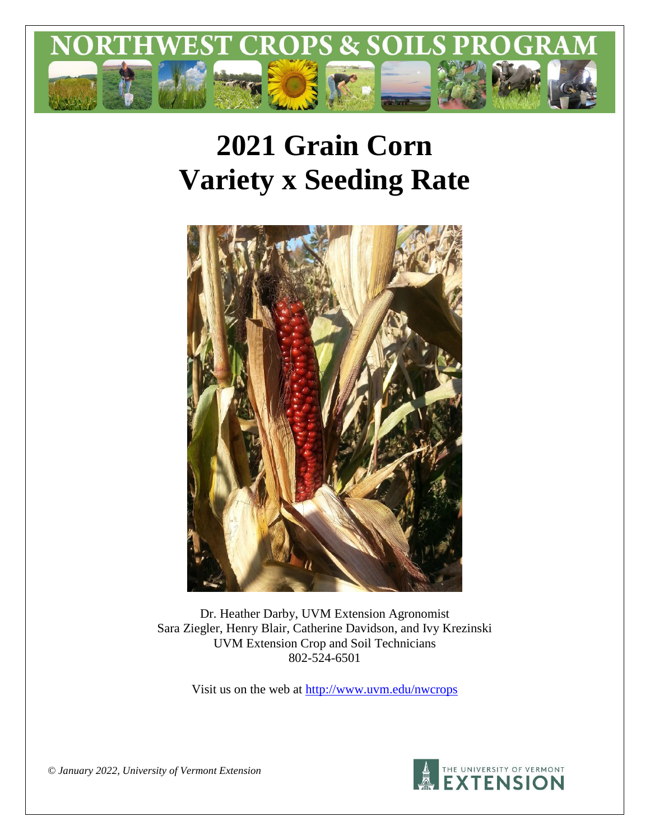

# **2021 Grain Corn Variety x Seeding Rate**



Dr. Heather Darby, UVM Extension Agronomist Sara Ziegler, Henry Blair, Catherine Davidson, and Ivy Krezinski UVM Extension Crop and Soil Technicians 802-524-6501

Visit us on the web at<http://www.uvm.edu/nwcrops>



*© January 2022, University of Vermont Extension*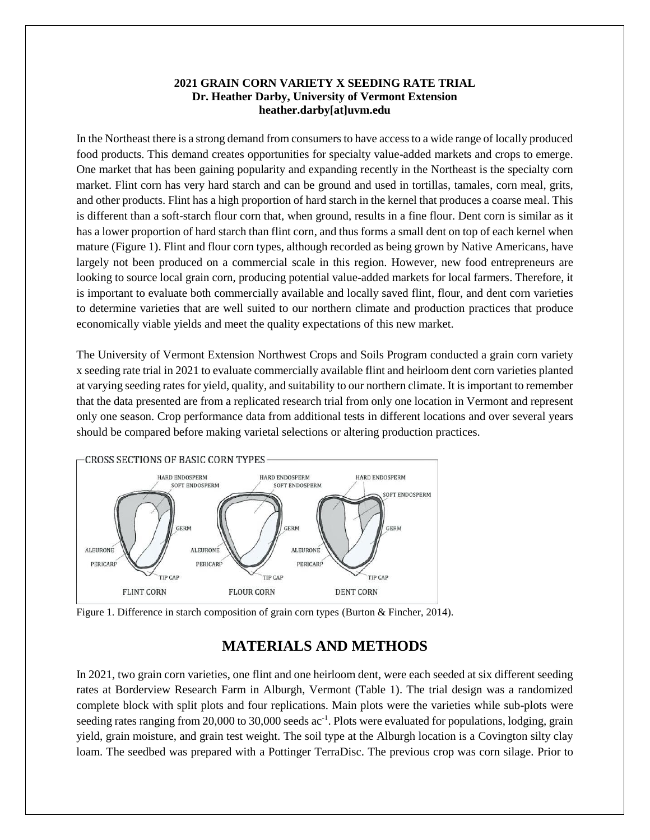## **2021 GRAIN CORN VARIETY X SEEDING RATE TRIAL Dr. Heather Darby, University of Vermont Extension heather.darby[at]uvm.edu**

In the Northeast there is a strong demand from consumers to have access to a wide range of locally produced food products. This demand creates opportunities for specialty value-added markets and crops to emerge. One market that has been gaining popularity and expanding recently in the Northeast is the specialty corn market. Flint corn has very hard starch and can be ground and used in tortillas, tamales, corn meal, grits, and other products. Flint has a high proportion of hard starch in the kernel that produces a coarse meal. This is different than a soft-starch flour corn that, when ground, results in a fine flour. Dent corn is similar as it has a lower proportion of hard starch than flint corn, and thus forms a small dent on top of each kernel when mature (Figure 1). Flint and flour corn types, although recorded as being grown by Native Americans, have largely not been produced on a commercial scale in this region. However, new food entrepreneurs are looking to source local grain corn, producing potential value-added markets for local farmers. Therefore, it is important to evaluate both commercially available and locally saved flint, flour, and dent corn varieties to determine varieties that are well suited to our northern climate and production practices that produce economically viable yields and meet the quality expectations of this new market.

The University of Vermont Extension Northwest Crops and Soils Program conducted a grain corn variety x seeding rate trial in 2021 to evaluate commercially available flint and heirloom dent corn varieties planted at varying seeding ratesfor yield, quality, and suitability to our northern climate. It is important to remember that the data presented are from a replicated research trial from only one location in Vermont and represent only one season. Crop performance data from additional tests in different locations and over several years should be compared before making varietal selections or altering production practices.





# **MATERIALS AND METHODS**

In 2021, two grain corn varieties, one flint and one heirloom dent, were each seeded at six different seeding rates at Borderview Research Farm in Alburgh, Vermont (Table 1). The trial design was a randomized complete block with split plots and four replications. Main plots were the varieties while sub-plots were seeding rates ranging from 20,000 to 30,000 seeds ac<sup>-1</sup>. Plots were evaluated for populations, lodging, grain yield, grain moisture, and grain test weight. The soil type at the Alburgh location is a Covington silty clay loam. The seedbed was prepared with a Pottinger TerraDisc. The previous crop was corn silage. Prior to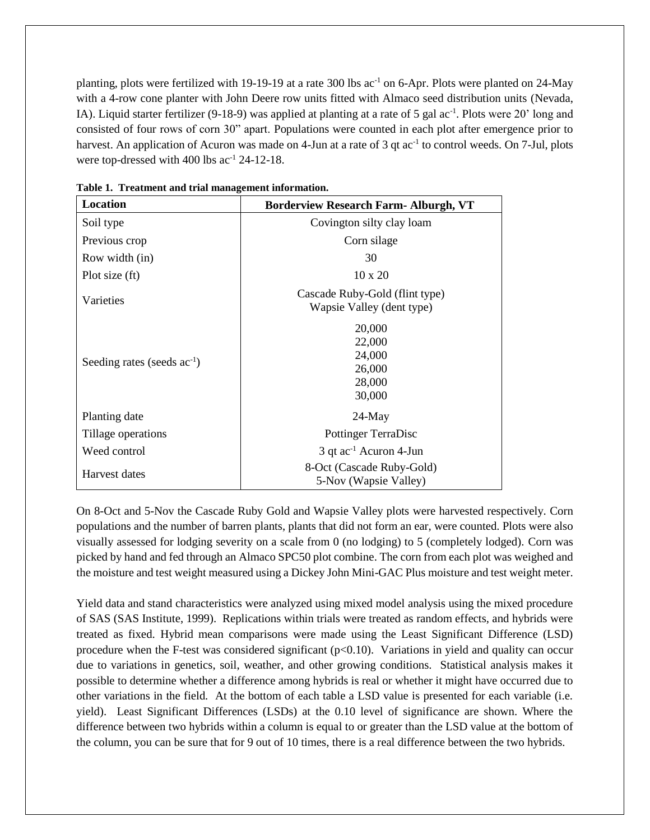planting, plots were fertilized with 19-19-19 at a rate 300 lbs  $ac^{-1}$  on 6-Apr. Plots were planted on 24-May with a 4-row cone planter with John Deere row units fitted with Almaco seed distribution units (Nevada, IA). Liquid starter fertilizer (9-18-9) was applied at planting at a rate of 5 gal ac<sup>-1</sup>. Plots were 20' long and consisted of four rows of corn 30" apart. Populations were counted in each plot after emergence prior to harvest. An application of Acuron was made on 4-Jun at a rate of 3 qt ac<sup>-1</sup> to control weeds. On 7-Jul, plots were top-dressed with  $400$  lbs ac<sup>-1</sup> 24-12-18.

| Location                         | <b>Borderview Research Farm- Alburgh, VT</b>                |  |  |  |  |
|----------------------------------|-------------------------------------------------------------|--|--|--|--|
| Soil type                        | Covington silty clay loam                                   |  |  |  |  |
| Previous crop                    | Corn silage                                                 |  |  |  |  |
| Row width (in)                   | 30                                                          |  |  |  |  |
| Plot size (ft)                   | 10 x 20                                                     |  |  |  |  |
| Varieties                        | Cascade Ruby-Gold (flint type)<br>Wapsie Valley (dent type) |  |  |  |  |
| Seeding rates (seeds $ac^{-1}$ ) | 20,000<br>22,000<br>24,000<br>26,000<br>28,000<br>30,000    |  |  |  |  |
| Planting date                    | $24$ -May                                                   |  |  |  |  |
| Tillage operations               | <b>Pottinger TerraDisc</b>                                  |  |  |  |  |
| Weed control                     | $3$ qt ac <sup>-1</sup> Acuron 4-Jun                        |  |  |  |  |
| Harvest dates                    | 8-Oct (Cascade Ruby-Gold)<br>5-Nov (Wapsie Valley)          |  |  |  |  |

**Table 1. Treatment and trial management information.**

On 8-Oct and 5-Nov the Cascade Ruby Gold and Wapsie Valley plots were harvested respectively. Corn populations and the number of barren plants, plants that did not form an ear, were counted. Plots were also visually assessed for lodging severity on a scale from 0 (no lodging) to 5 (completely lodged). Corn was picked by hand and fed through an Almaco SPC50 plot combine. The corn from each plot was weighed and the moisture and test weight measured using a Dickey John Mini-GAC Plus moisture and test weight meter.

Yield data and stand characteristics were analyzed using mixed model analysis using the mixed procedure of SAS (SAS Institute, 1999). Replications within trials were treated as random effects, and hybrids were treated as fixed. Hybrid mean comparisons were made using the Least Significant Difference (LSD) procedure when the F-test was considered significant  $(p<0.10)$ . Variations in yield and quality can occur due to variations in genetics, soil, weather, and other growing conditions. Statistical analysis makes it possible to determine whether a difference among hybrids is real or whether it might have occurred due to other variations in the field. At the bottom of each table a LSD value is presented for each variable (i.e. yield). Least Significant Differences (LSDs) at the 0.10 level of significance are shown. Where the difference between two hybrids within a column is equal to or greater than the LSD value at the bottom of the column, you can be sure that for 9 out of 10 times, there is a real difference between the two hybrids.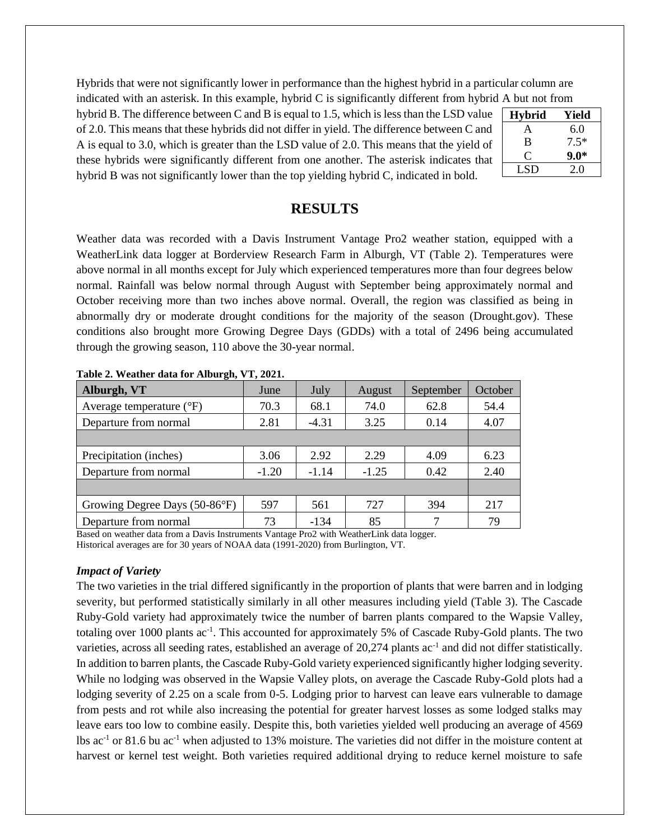Hybrids that were not significantly lower in performance than the highest hybrid in a particular column are indicated with an asterisk. In this example, hybrid C is significantly different from hybrid A but not from

hybrid B. The difference between C and B is equal to 1.5, which is less than the LSD value of 2.0. This means that these hybrids did not differ in yield. The difference between C and A is equal to 3.0, which is greater than the LSD value of 2.0. This means that the yield of these hybrids were significantly different from one another. The asterisk indicates that hybrid B was not significantly lower than the top yielding hybrid C, indicated in bold.

| <b>Hybrid</b> | Yield  |
|---------------|--------|
| А             | 6.0    |
| B             | $7.5*$ |
| ( `           | $9.0*$ |
| LSD           | 20     |

# **RESULTS**

Weather data was recorded with a Davis Instrument Vantage Pro2 weather station, equipped with a WeatherLink data logger at Borderview Research Farm in Alburgh, VT (Table 2). Temperatures were above normal in all months except for July which experienced temperatures more than four degrees below normal. Rainfall was below normal through August with September being approximately normal and October receiving more than two inches above normal. Overall, the region was classified as being in abnormally dry or moderate drought conditions for the majority of the season (Drought.gov). These conditions also brought more Growing Degree Days (GDDs) with a total of 2496 being accumulated through the growing season, 110 above the 30-year normal.

| Alburgh, VT                         | June    | July    | August  | September | October |
|-------------------------------------|---------|---------|---------|-----------|---------|
| Average temperature $({}^{\circ}F)$ | 70.3    | 68.1    | 74.0    | 62.8      | 54.4    |
| Departure from normal               | 2.81    | $-4.31$ | 3.25    | 0.14      | 4.07    |
|                                     |         |         |         |           |         |
| Precipitation (inches)              | 3.06    | 2.92    | 2.29    | 4.09      | 6.23    |
| Departure from normal               | $-1.20$ | $-1.14$ | $-1.25$ | 0.42      | 2.40    |
|                                     |         |         |         |           |         |
| Growing Degree Days (50-86°F)       | 597     | 561     | 727     | 394       | 217     |
| Departure from normal               | 73      | $-134$  | 85      | 7         | 79      |

**Table 2. Weather data for Alburgh, VT, 2021.**

Based on weather data from a Davis Instruments Vantage Pro2 with WeatherLink data logger. Historical averages are for 30 years of NOAA data (1991-2020) from Burlington, VT.

## *Impact of Variety*

The two varieties in the trial differed significantly in the proportion of plants that were barren and in lodging severity, but performed statistically similarly in all other measures including yield (Table 3). The Cascade Ruby-Gold variety had approximately twice the number of barren plants compared to the Wapsie Valley, totaling over 1000 plants ac<sup>-1</sup>. This accounted for approximately 5% of Cascade Ruby-Gold plants. The two varieties, across all seeding rates, established an average of 20,274 plants ac<sup>-1</sup> and did not differ statistically. In addition to barren plants, the Cascade Ruby-Gold variety experienced significantly higher lodging severity. While no lodging was observed in the Wapsie Valley plots, on average the Cascade Ruby-Gold plots had a lodging severity of 2.25 on a scale from 0-5. Lodging prior to harvest can leave ears vulnerable to damage from pests and rot while also increasing the potential for greater harvest losses as some lodged stalks may leave ears too low to combine easily. Despite this, both varieties yielded well producing an average of 4569 lbs ac<sup>-1</sup> or 81.6 bu ac<sup>-1</sup> when adjusted to 13% moisture. The varieties did not differ in the moisture content at harvest or kernel test weight. Both varieties required additional drying to reduce kernel moisture to safe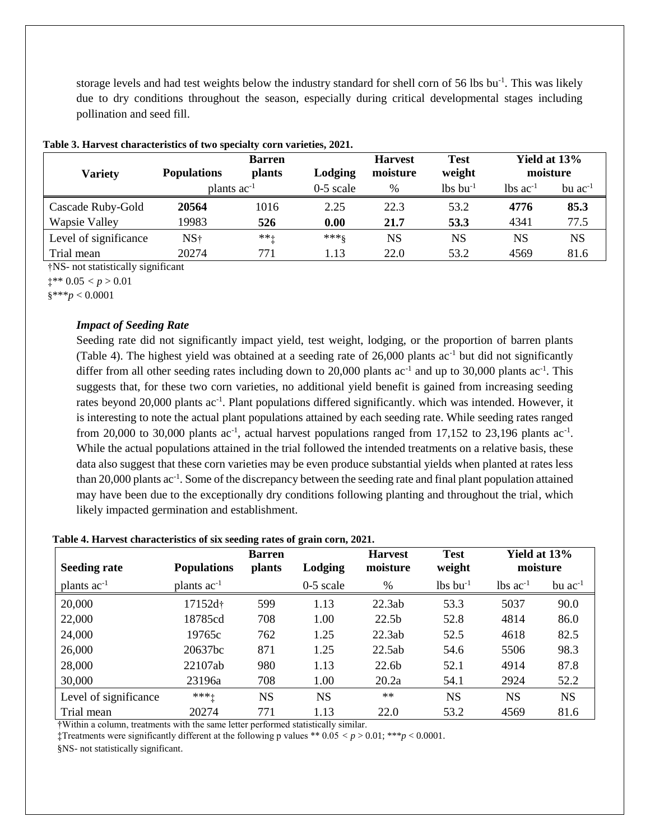storage levels and had test weights below the industry standard for shell corn of 56 lbs bu<sup>-1</sup>. This was likely due to dry conditions throughout the season, especially during critical developmental stages including pollination and seed fill.

|                       | <b>Barren</b>           |               |             | <b>Harvest</b> | <b>Test</b>            | Yield at 13%           |                |
|-----------------------|-------------------------|---------------|-------------|----------------|------------------------|------------------------|----------------|
| <b>Variety</b>        | <b>Populations</b>      | <b>plants</b> | Lodging     | moisture       | weight                 |                        | moisture       |
|                       | plants ac <sup>-1</sup> |               | $0-5$ scale | %              | $lbs$ bu <sup>-1</sup> | $lbs$ ac <sup>-1</sup> | $bu$ $ac^{-1}$ |
| Cascade Ruby-Gold     | 20564                   | 1016          | 2.25        | 22.3           | 53.2                   | 4776                   | 85.3           |
| <b>Wapsie Valley</b>  | 19983                   | 526           | 0.00        | 21.7           | 53.3                   | 4341                   | 77.5           |
| Level of significance | NS†                     | $***+$        | $***8$      | NS             | <b>NS</b>              | NS                     | <b>NS</b>      |
| Trial mean            | 20274                   | 771           | 1.13        | 22.0           | 53.2                   | 4569                   | 81.6           |

|  | Table 3. Harvest characteristics of two specialty corn varieties, 2021. |  |  |  |
|--|-------------------------------------------------------------------------|--|--|--|
|  |                                                                         |  |  |  |

†NS- not statistically significant

 $\ddagger^{**} 0.05 < p > 0.01$ 

§\*\*\**p* < 0.0001

## *Impact of Seeding Rate*

Seeding rate did not significantly impact yield, test weight, lodging, or the proportion of barren plants (Table 4). The highest yield was obtained at a seeding rate of  $26,000$  plants ac<sup>-1</sup> but did not significantly differ from all other seeding rates including down to 20,000 plants ac<sup>-1</sup> and up to 30,000 plants ac<sup>-1</sup>. This suggests that, for these two corn varieties, no additional yield benefit is gained from increasing seeding rates beyond 20,000 plants ac<sup>-1</sup>. Plant populations differed significantly. which was intended. However, it is interesting to note the actual plant populations attained by each seeding rate. While seeding rates ranged from 20,000 to 30,000 plants  $ac^{-1}$ , actual harvest populations ranged from 17,152 to 23,196 plants  $ac^{-1}$ . While the actual populations attained in the trial followed the intended treatments on a relative basis, these data also suggest that these corn varieties may be even produce substantial yields when planted at rates less than 20,000 plants ac<sup>-1</sup>. Some of the discrepancy between the seeding rate and final plant population attained may have been due to the exceptionally dry conditions following planting and throughout the trial, which likely impacted germination and establishment.

#### **Table 4. Harvest characteristics of six seeding rates of grain corn, 2021.**

| <b>Seeding rate</b>   | <b>Populations</b>  | <b>Barren</b><br><i>plants</i> | Lodging     | <b>Harvest</b><br>moisture | <b>Test</b><br>weight  | Yield at 13%<br>moisture |              |
|-----------------------|---------------------|--------------------------------|-------------|----------------------------|------------------------|--------------------------|--------------|
| plants $ac^{-1}$      | plants $ac^{-1}$    |                                | $0-5$ scale | $\%$                       | $lbs$ bu <sup>-1</sup> | $lbs$ ac <sup>-1</sup>   | bu $ac^{-1}$ |
| 20,000                | 17152d <sup>+</sup> | 599                            | 1.13        | 22.3ab                     | 53.3                   | 5037                     | 90.0         |
| 22,000                | 18785cd             | 708                            | 1.00        | 22.5 <sub>b</sub>          | 52.8                   | 4814                     | 86.0         |
| 24,000                | 19765c              | 762                            | 1.25        | 22.3ab                     | 52.5                   | 4618                     | 82.5         |
| 26,000                | 20637bc             | 871                            | 1.25        | 22.5ab                     | 54.6                   | 5506                     | 98.3         |
| 28,000                | 22107ab             | 980                            | 1.13        | 22.6b                      | 52.1                   | 4914                     | 87.8         |
| 30,000                | 23196a              | 708                            | 1.00        | 20.2a                      | 54.1                   | 2924                     | 52.2         |
| Level of significance | $*** +$             | <b>NS</b>                      | <b>NS</b>   | $***$                      | <b>NS</b>              | <b>NS</b>                | <b>NS</b>    |
| Trial mean            | 20274               | 771                            | 1.13        | 22.0                       | 53.2                   | 4569                     | 81.6         |

†Within a column, treatments with the same letter performed statistically similar.

‡Treatments were significantly different at the following p values \*\*  $0.05 < p > 0.01$ ; \*\*\* $p < 0.0001$ .

§NS- not statistically significant.